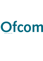

**Business report 2000**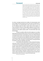*When you read this report you will realise just how wide-ranging are the activities of OFCOM, the Federal Office of Communications. For instance, apart from «classic» regulation in the telecommunications and media sector, we are also responsible for radio as a whole – from examining amateur radio operators through locating the causes of radio interference to frequency planning, e.g. for mobile radio and broadcasting. In practice, this means paying close attention to those details which are absolutely essential for communications to function but which are barely perceptible to the public. To this must be added our strategic and political tasks, which are a matter of public discussion virtually every day. Examples include planning of the universal service in telecommunications, adapting the law on radio and television to the breakneck pace of development towards convergence, or co-ordinating all the measures which are essential for an information society.* 

Our activity is increasingly characterised by the volatility of the telecommunications market. We were obliged to learn this dramatically at the time of the auction for the UMTS licences, as the great downturn in the telecommunications market occurred towards the end of the year. We deliberately allowed the market to operate during the licence allocation procedure and maintained a framework of credible regulation, applying the rules which had previously been laid down. For Swiss consumers it is critical for the new technologies and free frequencies to be made available as quickly as possible – the market will either accept or reject those technologies.

One factor is unavoidable: conflicts of aims will increasingly occur in our activities. Often the goals of the telecommunications market are not the same as those of protection of the environment, government finances or data protection, to cite just a few examples. With regard to the different interests involved, it will be indispensable in the future to promote discussion even earlier, even more clearly and even more vigorously. Viewed in this light, communications are becoming more political. Those who believe that telecommunications or communications in general are merely a matter of technology are deceiving themselves. In the pages which follow we would like to explain these relationships in greater detail.

All our activities, be they «daily business» or matters of fundamental importance, must be open, consistent, and always friendly and appropriate. And efficient too, of course! This is why the last year has been particularly characterised by our attempts to provide these services at a lower cost and to charge them to the appropriate originators. In this context, it helps that OFCOM is a «NPM» office: it is managed with a performance specification and a global budget. We have a cost/performance account which allows us to account accurately for more than 170 products. Such instruments are not yet common in the public administration and are not easy to introduce. They allow OFCOM to demonstrate a growing awareness of costs, a more pronounced «customer understanding» and better cost transparency towards the outside world. A transparency which, moreover, also serves as a byword for this business report.

*Marc Furrer, General Director*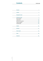| <b>Foreword</b>              | 1  |
|------------------------------|----|
|                              |    |
| <b>Contents</b>              | 3  |
|                              |    |
| Management report            | 4  |
|                              |    |
| Performance report           | 7  |
| Radio and television         | 7  |
| <b>Telecom Services</b>      | 12 |
| Radio licences and equipment | 18 |
| Frequency management         | 20 |
| <b>International affairs</b> | 25 |
|                              |    |
| <b>Outlook</b>               | 28 |
|                              |    |
| <b>Personnel</b>             | 31 |
|                              |    |
| <b>Finance report</b>        | 34 |
|                              |    |
| <b>Annex</b>                 | 38 |
|                              |    |
| <b>Impressum</b>             | 40 |
|                              |    |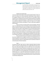# Management Report OFCOM 2000

*Since 1999 OFCOM has made itself available, in a pioneering role, for application of the principles of New Public Management (NPM) in the Swiss federal administration. These pilot projects are being conducted under the FLAG concept (FLAG: management with a performance specification and a global budget). In the reporting year we were able to conclude the first performance specification period, 1999 – 2000.*

## Management of the administration office

In the first two years we have made use of the increased operational freedom of action compared to the customary form of federal administration. Understanding of modern administrative management continued to increase in the second FLAG year. It was possible to improve operational resources. Management personnel showed exceptional leadership and responsibility with the emphasis on goal-oriented performance. A rethink took place at all levels with regard to our performance specification. The definition of goals for the range of over 170 products facilitated this process. Discussion with employees as a basis for «goal-oriented management» proved successful.

However, the limits and conceptual problems already acknowledged in 1999 with regard to the implementation of FLAG and confronting an office with predominantly sovereign tasks, were confirmed. For OFCOM it continues to be difficult to define quantitative performance indicators in the area for which it is solely responsible. The rules in the financial sphere still leave too little room for manoeuvre. For example, we are not allowed to carry forward financial resources which have not been exhausted to the new business year. The extra costs associated with FLAG and imposed on the core business, as well as the imbalance between cost and benefit, continue to prove problematic. A working group with representatives from all FLAG offices, set up especially for this purpose, is currently attempting to solve the most important problems.

We have learned the first lessons from the performance specification period which has just been completed and have arranged for corrections to be incorporated into the performance specification for the period 2001-2003. The new performance specification has been improved with particular reference to strategic objectives (above all performance indicators for each product group) and financial transparency.

#### **Finances**

The financial result, which is again a good one, confirms, amongst other things, the continued growth in cost-awareness. Among other things we have managed without the external consultancy services whose planned budget was some two million francs and we made purchases which were cheaper than expected. Operational accounting procedures were improved. For the first time, the imputations are based on the asset accounting system which has been in operation since mid-2000. We now enjoy substantially better cost transparency for future pricing of OFCOM products and on 1 January 2001 implemented the first amended fees. In the new performance specification period this gives us the opportunity to better fulfil our statutory task, by covering the cost associated with each individual product by the price. Licensees pay only those costs which they actually give rise to.

*3*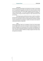## Personnel policy

With 260 full-time posts, personnel figures moved within the same margins as in the preceding year. 27 new staff joined the organisation and 33 either left or took up new positions, meaning we now have 285 members of staff. Thanks to tighter management of personnel resources – due in part to internal job rotation – we were able to partially compensate for the difficulties in recruiting personnel with legal and technical training from a labour market which has dried up in our sector.

After the good experience with the first two trainees in media/IT we would like to train more trainees and placement students. In the future, in each academic year, we shall therefore take on two young people for training. From 2003 OFCOM will consequently be employing 6 trainees simultaneously. In the reporting year, in addition to the trainees, we also trained university placement students in the legal sector.

## **Outlook**

OFCOM is going through a further year of consolidation in all FLAG areas. Product managers now also budget financial resources from the viewpoint of individual product goals. Thus we shall also be adapting the cost accounting system to the new situation and simplifying aids at all levels. In this context, the information provided will correspond better to the individual requirements of operational management (OFCOM) and strategic management (the Federal Council, the Department and Parliament).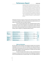## Performance Report

*Organisationally, OFCOM is sub-divided into three 'product divisions': Radio and Television (RTV), Telecommunications Services (TC) and Radio Licences and Equipment (Funkkonzessionen und Anlagen - FA) which provide services for external customers. The Frequency Management (FM) and the Resources and Organisation (BO) divisions, on the other hand, work primarily for the product divisions. The Frequency Management division, for example, handle the planning, allocation and monitoring of frequencies, as well as corresponding research work. The classic internal services in the areas of personnel, finance, IT and logistics are combined in the Resources and Organisation Division (Betriebswirtschaft und Organisation - BO). The International Relations (IR) Service co-ordinates international activities and Switzerland's representation in specialist international organisations.* 

Following the trend towards convergence of electronic media and telecommunications, OFCOM is one of the few organisations world-wide to combine these two areas under one roof. As a consequence of this, the Office reports to two different authorities.

On the one hand, the Office prepares work concerning the electronic media for the Federal Council and the Federal Department for the Environment, Transport, Energy and Communications, makes the necessary applications and implements the decisions. On the other hand, it is active in the telecommunications sector for the Federal Communications Commission (ComCom), which is competent as an independent authority in this area.



## Radio and television

Key areas related to radio and television in the reporting year included on the one hand thorough legislative reform and on the other hand consolidation of the existing broadcasting environment. Whereas the preparatory work for the revision of the Radio and Television Law (LRTV) has the strategic re-alignment of Swiss broadcasting policy as its objective, day-to-day activities centred on minor adaptations to the market.

The entry of new players into the market was no longer a characteristic feature of developments in broadcast radio; rather, the focal point was the repositioning of existing enterprises. Such restructuring processes are extremely complex, in view of the largely saturated mar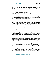ket, and this imposes some demanding requirements on the processing of licence applications (television applications in eastern Switzerland, applications from local radio stations for a change in the Federal Council's directives relating to FM transmitter network planning).

## National / regional linguistic radio broadcasting

In the market for national/regional linguistic radio broadcasting, the trend towards packaged offerings was reinforced. In the year 2000, the Federal Council licensed five new radio stations which provide niche programming with popular genres of music. These are without exception low-cost stations from existing broadcasters, which are distributed by cable and which generally rely on the production infrastructure of private radio stations.

In the case of television, the assumed saturation of the market was confirmed. New entrants are therefore confronted with tough competition for markets. The German broadcaster RTL/Pro Sieben Schweiz ceased transmission after only five months. Other broadcasters attempted to enter into co-operation with major media corporations: examples include the participation of the German music TV channel Viva in S Media Vision AG (Swizz) and the Ringier publishing company in Sat.1 Schweiz.

*h t t p : / / w w w . b a k o m . c h / e n g / s u b s u b p a g e / d o c u m e n t / 6 4 / 1 4 1 4*

## Local/regional radio

The key feature at local/regional level is the trend towards diversification and consolidation. Even regional radio companies are gradually adopting the strategy of the larger stations, offering different products according to the segmentation of the audience (Radio Top Two, Radio aktuell zwo, Radio 32 Goldies). It is also apparent that local programme makers need to reach a certain critical size to face up to future multimedia requirements. In the Grisons, for example, the radio stations, in conjunction with the local TV station, are planning a merger into a single sponsoring company. There are similar intentions in canton St. Gall. Applications for amendments to the Federal Council's directives for the FM transmitter network plan (central and eastern Switzerland), in order to achieve greater transmission coverage, are another new feature. These attempts are also an expression of the intense struggle between stations in these regions which are dominated by publishing companies and those which are independent of publishers.

In French-speaking Switzerland, after two years of negotiations with the French frequency management authorities, it was possible on the night of 2-3 November 2000 to change more than 40 FM frequencies. This action, which is intended to produce better reception quality in the regions around Lake Geneva and in the Chablais region, is the result of the excellent co-operation between OFCOM, the Swiss Radio and Television Company (SRG) and the private stations involved. The stations which benefited from this were RSR La Première, Espace 2, Couleur 3, DRS 1, RSI 1, Lausanne FM, Radio Chablais, Radio Lac, ONE FM and Radio Framboise.

*h t t p : / / w w w . b a k o m . c h / e n g / s u b s u b p a g e / d o c u m e n t / 6 4 / 1 4 1 3*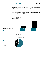A new model was introduced for allocating proportions of the reception fees to the local radio stations. In accordance with modern quality management principles, it is no longer the broadcast programme which is the key factor; rather, a check is carried out on whether the station has the organisational and personnel resources to improve programming conditions as per the statutory performance specification (input rather than output control). The qualifications of the personnel employed and training measures are also important.



Fee splitting 2000



Total available funds: 13 million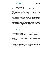## International radio broadcasting

On 20 September 2000 the Federal Department for the Environment, Transport, Energy and Communications (DETEC) approved the new coverage concept for Swiss Radio International (SRI) for the years 2000 – 2004. Analogue short-wave broadcasts in the priority coverage areas (Africa and South America) will be retained until the end of 2004. Furthermore, the website («swissinfo.org») will be supported in order to meet SRI's performance specification.

## Reception fees

In December 2000 the contract between DETEC and Billag AG for collection of radio and TV reception fees was signed, after Billag AG had been successful in the public invitation to tender launched in December 1999. The agreement is to come into force at the beginning of 2001 and will put the fee collection system onto a new and more efficient footing.

## **Supervision**

OFCOM decisions on advertising, sponsorship and technical broadcasting can now be accessed via the Internet. This service is intended primarily to contribute to informing radio broadcasting companies and, in a preventive fashion, to help ensure that their practice is adapted to the applicable statutory regulations.

*h t t p : / / w w w . b a k o m . c h / e n g / s u b p a g e / ? c a t e g o r y– 5 8 . h t m l*

## Key projects

## *Revision of the Radio and Television Law (LRTV)*

Activity in the radio and television sector was strongly characterised by the work being done on a new Radio and Television Law (LRTV).

In January the Federal Council adopted a discussion paper prepared by OFCOM, laying down the strategy for a new Radio and Television Law. Within the framework of a socalled «dual» system, on the one hand the SRG will provide a comprehensive and competitive public service, whilst on the other hand the latitude for private radio and television companies will be extended.

*http://www.uvek.admin.ch/doku/presse/2000/d/00012002.pdf* 

On this basis, the draft for a new Law was drawn up within OFCOM and approved in December by the Federal Council. At the end of 2000, the draft, with the corresponding explanations, was submitted for the consultation process; this will take until April 2001.

> *h t t p : / / w w w . b a k o m . c h / f r e / n e w s / 5 0 6 / 5 0 6 . p d f h t t p : / / w w w . b a k o m . c h / s p e c i a l / r t v g / r t v g– e r l– f . p d f*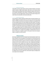## *Digital Video Broadcasting (DVB)*

In May 2000 we launched a project related to technical and political clarification concerning the possible introduction of digital terrestrial television. With reference to the European planning conferences (which will probably be held in 2003 and 2005), the conditions must be met to ensure the effective representation of Swiss interests. A DVB platform ensures contact with the Swiss players in the world of digital television. This body ensures the optimal exchange of information between the administration and interested outside parties.

## *Digital Audio Broadcasting (DAB)*

In the reporting year, OFCOM completed the DAB pilot project in the Bernese Oberland. It was possible to integrate the transmitter network set up in the course of the trial into the national network. A CD-ROM on the pilot trial can be obtained from OFCOM. Since spring 2000 the SRG has been providing 55 percent of the Swiss population with DAB coverage. In the European arena, this means that Switzerland has the best coverage. Experience with the new broadcasting technology at the technical and economic level has been good. However, the SRG – with DETEC's agreement – has delayed further expansion because of bottlenecks in equipment production and in the reception equipment market. At an OFCOM information event held in November 2000, with representation from all the interested parties, however, there was cautious optimism about future development. We are looking into the possibilities of releasing technical resources for DAB in the VHF sector. An invitation to tender for DAB capacity for private radio companies might be a possibility in late 2001/early 2002.

## Telecom services

After having to guarantee access to the liberalised Swiss telecommunications market for new telecom companies in the two preceding years, the reporting year was characterised above all by enforcement of the rules (supervision). It was also important to prepare and develop the next steps in this dynamic market. For example, new licences were granted for wireless subscriber connections over the 'last mile' (Wireless Local Loop - WLL), a complementary technology to fixed connection by cable or telephone lines. On behalf of the Federal Communications Commission (ComCom), we organised the auction for UMTS licences, thereby laying the foundations for the broadband mobile data services of the future (third-generation mobile telephony). In the area of universal service relating to telecom services, the initial preparatory work was carried out on an invitation to tender for the universal service licence(s) which is/are expected to come into force from 2003. The new providers in the telecom market were able to expand their business into additional sectors of the value-added chain. Interconnection disputes accordingly became more complex and more fundamental.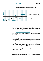

## Development in the number of telecommunication services providers since 1998

*At the end of 2000, 315 telecommunication services providers were registered with OFCOM. Of these, 161 were required to be licensed, because they operate substantial systems independently. 83 providers were newly registered or licensed*

Implementation of the so-called R&TTE Directive of the European Union proved to be quite a task (see the chapter on Radio Licences and Equipment, page 18) regarding notification of the interfaces by the different service providers. In this context, the list of services of all providers was also updated. A summary of the interfaces can be found in the revised list of all service providers on the OFCOM website.

*h t t p : / / w w w . b a k o m . c h / S e r v i c e– P r o v i d e r– L i s t e / w e l c o m e– e . h t m l .*

Further statistics and figures on the Swiss telecommunications market can also be found on the OFCOM website:

*h t t p : / / w w w . b a k o m . c h / e n g / s u b p a g e / ? c a t e g o r y– 6 9 . h t m l*

## Universal service

In the course of the year 2001 the universal service licence(s) will be put out to tender; they will come into force from 2003 onwards and will replace the current Swisscom licence. As part of the preparation for the invitation to tender, the content of the universal service was examined and the development of supply and demand in the market was analysed. Key areas are, on the one hand, the extension of the law to electronic individual communication and on the other hand the relaxation of individual regulations in view of the intensity of competition which reigns. The form of the licence (one national licence or several regional licences) and the future administration of the universal service budget were also examined. Appropriate consultations will be launched in the first half of 2001.

## Mobile radio

Apart from the invitation to tender for UMTS licences and licences for the additional GSM frequencies which will soon be available, on behalf of ComCom we carried out a clarification of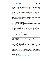requirements for the granting of a licence for a national digital trunked radio network (for use by haulage companies, taxis, public transport, etc.). Interest in a national licence was moderate because of the immaturity of this market, competition from the safety radio network and GSM, as well as the pressure of the financial markets on telecommunications companies. An award for regional networks is now being examined. In co-operation with the swiss conference of building, planning and environment directors, the competent federal authorities and the network operators, recommendations and conditions for co-ordination of the construction of mobile radio antennas were drawn up under OFCOM's leadership. The conditions were adopted in the GSM, UMTS and WLL licences. The intention is to stem the uncontrolled growth of antennas and to construct new networks with greater respect for the landscape.

*h t t p : / / w w w . b a k o m . c h / e n g / s u b p a g e / ? c a t e g o r y– 1 1 0 . h t m l*

## Allocation of blocks of numbers

OFCOM allocates blocks of numbers to the service providers from which the providers allocate individual telephone numbers for use by their customers. Because of growth, the entry into the market of additional service providers and the first shifts in market share, the demand for blocks of numbers remained strong, though not as strong as in 1999. In the reporting year, 240 blocks of 10,000 numbers and 450 blocks of 1000 numbers were allocated. The slowdown in growth of number allocation, however, is a sign of consolidation of the market. This trend is confirmed by the number of carrier selection codes allocated. The following table shows developments since the market was opened up:

Number of CSC codes, blocks of 1000 and 10,000 numbers

| Year                           | 1997 | 1998 | 1999 | 2000 |
|--------------------------------|------|------|------|------|
| <b>Carrier Selection Codes</b> | 52   | 68   | 143  | 53   |
| 1000 E.164 number blocks       | つつ   | 73   | 282  | 455  |
| 10,000 E.164 number blocks     | 220  | 332  | 509  | 240  |

With the involvement of the service providers, we have drawn up detail specifications for the allocation, beginning in September 2001, of alphanumeric numbers in the 0900 and 0800 number ranges. Allocation of all numbers will be carried out electronically via the Internet. This will be one of the Confederation's first comprehensive e-government projects; not only will it be possible to place orders and allocate numbers over the Internet, but the production process in OF-COM will also take place and be controlled completely electronically. With regard to the New Numbering Plan 2002 on 29 March 2002, some important preparatory work has been completed (technical and administrative regulations for implementing the plan) and the first communication measures were introduced under the slogan «From 2002 always use the area code» (with information being sent to all businesses in Switzerland so that the necessary measures can be planned in good time).

*h t t p : / / w w w . b a k o m . c h / e n g / s u b p a g e / ? c a t e g o r y– 9 8 . h t m l*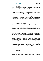## **Interconnection**

In the area of interconnection, Swisscom introduced a pricing scheme based on forward looking long run incremental costs on the basis of the stipulations of the Decree on Telecommunications Services. The new tariffs, however, were not accepted by all providers. Two applications for fixing interconnection prices were submitted to ComCom. In the case of these procedures, OFCOM carries out the official investigation. Legal proceedings were begun regarding two other procedures, one concerning unbundling of the local loop. As for most procedures, we draw up applications for decisions with reference to precautionary measures for ComCom. The complex and time-consuming Commcare interconnection procedure on the subject of leased lines and transmission media could be concluded by a ComCom decision which was prepared by OFCOM. Swisscom's interconnection obligation for leased lines in the subscriber line sector was affirmed. The consequences are lower prices in this segment, to the benefit of competitors. The decision was contested in the Federal Court.

## Joint elaboration of regulatory principles

In co-operation with representatives of the service providers we are layout the groundwork for technical and administrative regulations for emergency call routing, switching carrier preselection, indication of charges and technologies of the connection networks. Co-operation with the service providers under the leadership and moderation of OFCOM experts has proved successful.

## **Supervision**

Several supervisory procedures were initiated in order to implement the rules for fair competition and for protection of consumers in the telecommunications market. The cases prepared by OFCOM concerned compliance with the coverage obligation by a mobile radio operator, compliance with upper price limits by Swisscom as the universal service licensee, implementation of carrier selection call-by-call in a mobile radio network, compliance with the period of 5 days for switching carrier preselection in a fixed network, and the delay in establishing a site database by the universal service licensee. Other supervisory procedures had to be initiated because of negligence in the provision of data for official statistics. In this connection, ComCom also imposed administrative sanctions. One of these was referred to the Federal Court and confirmed by the latter. As far as such measures are concerned, we rely on instruments which are intended to reduce the temptation to infringe the regulations and to promote self-discipline and self-monitoring. One example is the penalties agreed under civil law in the event of infringement of the principles of fair rules in competition (e.g. the period for switching carrier preselection).

## Digital signature

The decree on electronic certification services entered into force on 1 May 2000. Although the production of the technical and administrative implementing regulations was subject to delay because of the co-operation with external specialists, substantial progress could be made with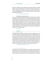regard to the recognition of the first certification services providers (certificates for the digital signature). The enforcement regulations are the subject of a consultation with the relevant experts. This recognition system for signature services constitutes a major step towards the introduction of the digital signature and hence the promotion of confidence in electronic commerce and dealings with the authorities.

## *h t t p : / / w w w . b a k o m . c h / e n g / s u b p a g e / ? c a t e g o r y– 1 0 4 . h t m l*

## Information Society Co-ordination Group (ISCG)

The Federal Council noted the second report of the Swiss Information Society Co-ordination Group (ISCG) and its recommendations for actions. Priority is being given to electronic communications with government (e-government) as well as education and training. Whilst specific key projects and appropriate budgets could be initiated in the first area, the ISCG is of the opinion that there continue to be obstacles on the road to a consistent programme for a nation-wide campaign promoting the first stage in schools. Key areas in terms of requirements are education content for Switzerland as a whole, training and further training for teachers (including Internet training and teaching) and nation-wide equipping of schools with the necessary infrastructure. The discussion on this subject is ongoing.

 $http://www.isps.ch/$ 

## Key projects

## *Wireless Local Loop (WLL)*

In spring 2000 the auction was held for three national licences and five regional licences in each of nine regions, despite an appeal to the administrative court by one candidate; suspensive effect was not granted and the candidate subsequently withdrew its complaint. Thanks among other things to favourable conditions at the time and the great interest of the financial markets in telecommunications companies, it was possible to raise an unexpectedly high amount of more than 582 million francs. Most of the licences went to companies which wish to enter the Swiss market and provide new (broadband) services. Consequently, an interesting contribution to innovations in the strategic sector of broadband services is to be expected in some segments of the markets. The first operational base station was commissioned in December 2000.

*h t t p : / / w w w . b a k o m . c h / e n g / s u b p a g e / ? c a t e g o r y– 9 9 . h t m l*

## *Third-generation mobile radio: UMTS*

Six months later, on the occasion of the UMTS auction, the situation was less favourable. The original number of ten authorised candidates for four practically symmetrical licences fell – somewhat surprisingly – to four in the final days before the commencement of the auction. One factor among others was that the financial markets were refusing further loans to the telecom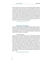munications companies. Since on the very eve of the auction the fifth candidate had withdrawn, or rather officially announced a merger with one of the remaining candidates, we decided, after consulting ComCom, to postpone the auction. After examining the effect of the merger on the Swiss market and all possible variants for the subsequent procedure, ComCom decided to hold the auction in accordance with the original rules, with a minimum bid of 50 million francs. In this way, the Commission wanted to comply with the clear rules of the UMTS call for tenders, avoid delays in licensing and ensure that the new technologies would become available in Switzerland as soon as possible. It was not possible to allocate the licences because of the slightly different quality of the four licences. In addition, the minimum price of 50 million francs corresponded to the minimum value also current in other countries. The four licences were granted to diAx, Orange, Swisscom and Telefonica, for a total of 205 million francs.

*h t t p : / / w w w . b a k o m . c h / e n g / s u b p a g e / ? c a t e g o r y– 1 0 5 . h t m l*

## Radio licences and equipment

With regard to market licensing of telecommunications equipment, OFCOM has decided in favour of clear technical deregulation and has therefore been consistently implementing a European Union directive since 1 May 2000. Business and industry must enjoy rapid access to the market. Deregulation and the use of new communications technologies will substantially alter activities in the area of radio licences and equipment.

## Telecommunications equipment

Implementation of the new European directive on radio and telecommunications equipment (the R&TTE Directive) in Swiss law on 1 May 2000 has led to a major reduction in the number of type approvals for telecommunications equipment. Whereas 650 items of equipment were approved in 1999, the number was only 185 in the reporting year. The number of new procedures for conformity assessment, which provide for compulsory registration instead of prior inspection of telecommunications equipment, increased accordingly. In the course of the year, manufacturers and importers made use of this registration procedure more than 500 times. This is the result of technical deregulation, which invokes the responsibility of manufacturers and dealers themselves. In this way, equipment can be brought onto the market more quickly, especially when new technologies are being introduced. In four seminars, we informed participants in the market of the possibilities of easier market access for new telecommunications equipment. Further activities are planned in order to meet the growing demand for information from the public as a whole.

*h t t p : / / w w w . b a k o m . c h / e n g / s u b p a g e / ? c a t e g o r y– 1 0 0 . h t m l*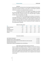## Radio licences

Some of the Swiss fees for radio licences have to date diverged considerably from the European average. They were therefore amended on 1 January 2001. As a result, charges for professional radio licences in particular can be considerably reduced in many cases.

The number of radio licences in most categories also fell slightly in the reporting year. The most strongly affected area was CB radio, which is available for leisure-time communication to anyone who is interested. The decrease is due, among other things, to competition from other means of communications such as GSM.

Access to amateur radio was facilitated by the introduction of the entry-level licence (amateur radio licence 3) on 1 May 2000. This fulfilled a long-cherished wish of Swiss ham radio operators. The examination requirements for the required certificate of competence were simplified accordingly in the subject area «principles of electrical engineering and radio technology». Interest in this additional type of licence is confirmed by the number of candidates who have already passed the examination.

| Year                         | 1996   | 1997   | 1998   | 1999   | 2000   |
|------------------------------|--------|--------|--------|--------|--------|
| Professional radio licences  | 14'971 | 15'382 | 13'318 | 13'017 | 12'312 |
| <b>Ships licences</b>        | 1'232  | 1'262  | 1'252  | 1'302  | 1'342  |
| Mobile flight radio licences | 4'669  | 4'594  | 4'507  | 4'414  | 4'342  |
| Amateur radio licences       | 4'661  | 4'653  | 4'592  | 4'508  | 4'465  |
| <b>CB</b> licences           | 24'036 | 20'698 | 18'059 | 15'172 | 12'325 |
|                              |        |        |        |        |        |

#### Evolution in the number of licences

## Radio operators' examinations

| Novice Certificate for Radioamateurs                                                                     | 43 candidates  |
|----------------------------------------------------------------------------------------------------------|----------------|
| Radiotelegraph Operator's Certificate for Radioamateurs                                                  | 56 candidates  |
|                                                                                                          |                |
| Radiotelephone Operator's Restricted Certificate for the Maritime Mobile Service (valid on board yachts) | 52 candidates  |
| Restricted Radio Operators Certificate                                                                   | 270 candidates |
| VHF Radio Operator's Certificate for the Radiotelephone Service on Inland Waterways                      | 38 candidates  |

## Market verification of telecommunications equipment and radio licences

Apart from dealing with notifications, faults and inspections, we have above all been involved in carrying out market monitoring activities, as a result of the introduction of the R&TTE Directive. Whereas, in the past, telecommunications equipment was inspected for compliance with the technical regulations before being permitted onto the market, on the basis of the new directive this inspection now takes place only after an item of equipment has been introduced onto the market.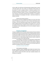In the year 2000, in the radio licences and telecommunications equipment division, we placed 1,204 market inspection orders. These resulted in 577 administrative penalty procedures. We also processed 173 orders for retroactive verification of conformity in accordance with the fundamental requirements of the R&TTE Directive. As a result of the R&TTE Directive and in line with the EU Commission's intentions, an increase in corresponding inspections is planned for the coming years. In the directive's introductory phase, the emphasis is on providing information and clarification for the participants in the market - a task which will continue to be important in the future.

## Monitoring of radio and television reception fees

In the reporting year, on the basis of notifications from Billag AG, the company which collects radio and TV reception fees, we dealt with 1,811 orders in connection with unlicensed viewers and listeners. In total, 2,293 administrative penalty procedures were implemented. This figure includes completed procedures from the preceding year. The procedures serve as a last resort for persuading unlicensed viewers and listeners to pay the reception fees. One central task in the reporting year involved redefining Billag's work in this area and assisting the company in organising these tasks.

## Frequency management

In frequency management, where most activities (frequency planning and frequency allocation) often take place years before the commercial launch and use of telecommunications and broadcast radio services, foresight is of the essence. However, regulation in the radio sector also means ensuring optimal parameters, in the interests of the economy, for the ever denser radio environment. Key areas here are a reliable planning and legal environment, incentives to optimise the use of resources and quality assurance (Radio Monitoring).

In the reporting year, in planning terms, the world conference in Istanbul with the corresponding preparations within the framework of the CEPT/ERC (European Conference on Post and Telecommunications / European Radio Committee) and the preparation of digitisation in broadcast radio were of particular importance. The new form of the national frequency allocation plan was adopted by ComCom in the reporting year.

*h t t p : / / w w w . b a k o m . c h / e n g / s u b p a g e / ? c a t e g o r y– 6 3 . h t m l*

## Centre of competence for radio technology

The centre of competence examines compatibility between different radio systems and lays down the conditions for parallel operation of these systems and/or migration from old to new systems. Within the framework of the CEPT, the centre made a substantial contribution in the following areas, among others: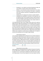Development of a new method for trans-frontier third-generation mobile radio services (UMTS), in conjunction with the Technical Institute of Biel.

Definition of a new measurement method and measurement of the radiation characteristics of Power Line Communication (PLC) systems, in collaboration with a Swiss manufacturer. Performance of compatibility tests based on these measurements.

Acceptance tests for the statistical tool for interference calculations (SEAMCAT).

Compatibility tests, using SEAMCAT, in the sphere of «short range devices» and the «Bluetooth» systems. This new simulation tool allows a realistic assessment of the technical possibilities of wireless links to electronic devices in homes and commerce, such as wireless speakers, headphones, screens, computer networks, etc., which eliminate the need for expensive wiring.

In the forthcoming decade, today's common analogue television systems will be replaced by digital DVB systems (Digital Video Broadcasting). The new technology will further merge the boundaries between radio and telecommunications (e.g. as a result of interactive applications). Coverage of the population with TV programmes over the air (so-called «terrestrial» broadcasting, in contrast with cable or satellite systems) will therefore undergo a radical change. The FM Division, with its technical and regulatory know-how, is participating in the corresponding key projects of the RTV Division (see also the chapter on RTV.). Together with the Technical Institute of Biel, the centre of competence is currently carrying out a feasibility study for the migration of terrestrial radio broadcasting services from analogue to digital technology.

## Frequency allocation for mobile radio

In the reporting year, fundamental work was performed in the area of frequency allocation on the licensing of the additional GSM frequencies, which became available as a result of the decommissioning of the analogue Natel C network. In addition, we prepared the technical basis for the invitation to tender for a digital trunked radio network . The preparation of transmitter data in connection with application of the decree on non-ionising radiation (Verordnung über den Schutz vor nichtionisierenden Strahlen - NISV) was another similarly important and labour-intensive task, as was the production of the technical appendices relating to the UMTS licences.

GSM network descriptions 1999 2000

**Base stations 3'000** 4'600

## Frequency allocation for microwave /satellites

With the signing of the corresponding agreements, the utilisation of frequencies for Fixed Wireless Access (FWA) systems, e.g. Wireless Local Loop (WLL), with neighbouring countries could be regulated and set on a sound footing. The establishment of mobile radio services is dependent on timely provision of more and more frequencies for the access networks of the three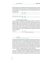mobile radio operators. In total, we allocated some 1550 new links. At the same time, as a result of network optimisation, other microwave sections are constantly being decommissioned, and this involves considerable work on updating the databases, as well as international notifications and co-ordination activity.

| New microwave sections                 | 1999  | 2000  |  |
|----------------------------------------|-------|-------|--|
|                                        | 1'370 | 1'550 |  |
|                                        |       |       |  |
| Decommissioned microwave sections 1999 |       | 2000  |  |
|                                        | 1'000 | 1'500 |  |
|                                        |       |       |  |

#### Frequency allocation for radio broadcasting

The preparatory work on digitising the radio broadcasting environment is in full swing. In particular, completion of the relevant technical data imposes some demanding requirements. Nonetheless, analogue radio coverage will remain the most important medium for the next 10 -15 years. The FM transmitter network will therefore be continually optimised. One high point of this planning work, carried out in close co-operation between OFCOM and the broadcasting companies, was the «nuit bleue»: during the night of 2-3 November 2000, forty FM frequencies in the area around Lake Geneva and in the Chablais region were changed (see also the chapter on radio and television).

| <b>Radiation tests</b> | 1999 | 2000                                    |
|------------------------|------|-----------------------------------------|
|                        | 39   | 48 (including 31 with outside partners) |
|                        |      |                                         |

#### Key projects

#### *Implementation of the decree on non-ionising radiation*

On 1 February 2000, on the basis of the law on protection of the environment, the Federal Council brought into force the decree on non-ionising radiation (Verordnung zum Schutz vor nichtionisierenden Strahlen - NISV). As a result of this, the long-prepared and hotly disputed legal foundation for assessing transmission equipment is finally available. The decree specifies precautionary values for zones of sensitive use; these values are approximately ten times lower than the customary values world-wide. Switzerland therefore has considerably stricter environmental protection requirements than other countries. This fact and the new stipulations and definitions contained in the decree are causing major difficulties in practical implementation.

Under these conditions, internationally recognised methods of measurement and assessment are not applicable in Switzerland as supplementary aids for evaluating the precautionary values. The competence centre on electromagnetic compatibility and the environment (EMV / EMV-U) therefore provided the Swiss Agency for the Environment, Forests and Landscape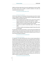(BUWAL) with technical support when the new aids to implementation were drawn up. Whilst the necessary resources were not available, we assisted the authorities in the cantons and communities with provisional measures.

*h t t p : / / w w w . b a k o m . c h / e n g / s u b p a g e / ? c a t e g o r y– 1 1 0 . h t m l*

#### *World radio conference (WRC-2000)*

At the four-week conference of the International Telecommunications Union (ITU) in Istanbul numerous conditions for utilisation of the frequency spectrum and satellite orbits were agreed at a global level. The most important of these are:

- Three new frequency bands are available to those countries which would like to introduce third-generation mobile radio systems (IMT-2000 – e.g. UMTS).
	- Additional frequencies were allocated to the satellite radio navigation service, with reference to the new European radiolocation system, GALILEO.
- Frequencies were provided for High Density systems in the Fixed Services (HDFS).
- A new plan for satellite radio broadcasting was adopted for Europe, Africa and the Asia-Pacific region.

The results which were achieved must be hailed as a success for Europe and for Switzerland. The excellent preparatory work performed by the 43 European states within the framework of the CEPT made a substantial contribution. OFCOM allocated considerable resources to this area in terms of personnel during the reporting year.

*h t t p : / / w w w . i t u . i n t / n e w s r o o m / p r e s s / r e l e a s e s / 2 0 0 0 / 1 3 . h t m l*

## *Reorganisation of Radio Monitoring*

The organisation of the Radio Monitoring section, with seven manned measuring stations in Switzerland, will be replaced in the next few years by a more efficient structure. From 2004 onwards the tasks of the Radio Monitoring section will be performed for the most part in Biel. In place of the manned measuring stations, three intervention offices located in Gudo, Châtonnaye and Zurich-Höngg will take over. If a change of use and sale of the building in Châtonnaye is a feasible solution, this site will be shut down, in favour of Lausanne. In order to guarantee intervention times which are as short as possible, a «satellite» office of the field offices will operate after 2004 in each of the regions of Geneva, Thurgau/St. Gall/Zurich and Solothurn/Basel. As soon as normal personnel fluctuation allows, the personnel at the distributed sites will be reduced. The desired co-operation between the market supervision departments from the Radio Licensing and Equipment divisions and Radio Monitoring is to be implemented. In the process all parts of the concept project will be implemented as soon as possible. These re-organisations are intended to maintain the current high standard of radio monitoring services, make them more efficient, if possible, and adapt them to new requirements.

*http://www.bakom.ch/eng/subsubpage/document/243/1466*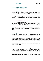|                      | Interference notifications to Radio Monitoring |      |                                        |  |  |  |  |
|----------------------|------------------------------------------------|------|----------------------------------------|--|--|--|--|
| Year                 | 1999                                           | 2000 |                                        |  |  |  |  |
| <b>Perturbations</b> | 530                                            |      | 511 (of which 60% FA, 30% RTV, 10% TC) |  |  |  |  |
| Hours spent          | 8'152                                          |      |                                        |  |  |  |  |

Integration of the Frequency Management division in OFCOM allows direct, comprehensive preliminary clarification for numerous projects from other OFCOM divisions. Examples include the following projects: Power Line Communications (PLC), revision of the law on radio and television (LRTV), Digital Audio Broadcasting (DAB), Digital Video Broadcasting (DVB), UMTS, Wireless Local Loop (WLL) and Spectrum Pricing (see reports from the divisions managing the projects).

## International affairs

## World summit on the information society

The International Telecommunications Union (ITU) is planning a world summit on the topic of the information society for 2003. On the basis of a Federal Council decision, we submitted the official candidature of Geneva to the ITU as the venue for this event. Among other things, this opportunity will be exploited to discuss the digital divide between developed and less developed states. The general secretary of the ITU will decide on the candidatures of Switzerland and Tunisia by the spring.

#### Work on reforms

#### *U I T*

Various international organisations in whose work OFCOM participates are in the throes of a reform process. Thus we have committed ourselves to a more flexible and more efficient ITU (International Telecommunications Union) in order to meet the new challenges of the telecommunications market and industry. In view of the growing trend towards liberalisation, the tasks of the individual sectors of the ITU and the roles of the representatives of the regulatory offices and the telecom industry in the work of the ITU must be thoroughly revised. Extensive progress in this process of reform was achieved at the world conference on standardising the ITU in autumn 2000. In 2001 these reforms are to be consolidated and expanded, and officially accepted at the ITU's 2002 world conference.

## *C E P T*

Switzerland has also committed itself to a more efficient configuration for the CEPT (European conference on post and telecommunications). Under the leadership of OFCOM's Director, a delegation took part in the plenary session of the CEPT in Oslo (in June 2000), at which the decision in principle was taken in favour of a full re-organisation. The eventual structure of the organisation is currently under discussion. We shall attempt to ensure that the CEPT leaves all questions of regulation to the Independent Regulatory Authorities Group (see also the chapter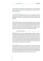on IRG) and instead concentrates mainly on radio-related questions, as well as co-ordinating the European position in preparation for the world conference of the ITU, in addition to topics related to numbering plans.

#### *I N T E L S A T / E U T E L S A T*

In the course of the year we participated actively in the work of re-organising the two organisations INTELSAT and EUTELSAT. In order to better meet the needs of the new markets and the development of new services, the two organisations will be re-organised with private sector participation.

## *TV 5*

In the year 2000, Switzerland chaired TV5 and therefore organised the conference of ministers responsible for TV5. The conference took place under the leadership of Federal Councillor Moritz Leuenberger on 27 October 2000 in Vevey. The ministers agreed that the broadcaster's organisation, with heavy emphasis on national administrations, appeared no longer to meet the requirements of a dynamic media market. Against this background, it was envisaged to set up a multilateral francophone production unit to offer a networked station world-wide.

#### Other international organisations

## *I R G*

OFCOM plays an active role within the Independent Regulatory Authorities Group (IRG), in which the independent national regulatory authorities of the European Union and European Economic Region states plus Switzerland co-operate. Questions which are dealt with include those of harmonising the principles to be applied to interconnection, unbundling the local loop, granting of licences, etc. Monitoring of the revision of the EU's legal framework for telecommunications, the so-called «99» Review, was of particular importance during the reporting year. We have analysed the EU proposals in detail and are preparing to initiate a partial revision of the telecommunications law in parallel with the EU's own revision.

## *I C A N N*

OFCOM represents Switzerland in the «Governmental Advisory Committee» (GAC) of ICANN (Internet Corporation for Assigned Names and Numbers), which is responsible for allocating Internet addresses world-wide. In addition, OFCOM has observer status in the European Union's informal group on «Addressing in the Internet». Within the framework of drawing up regulations for the «.eu» domain extension, the EU wishes to restrict its use to its own member states. Switzerland has proposed that all the CEPT countries be allowed to use this code.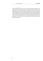## *Council of Europe*

OFCOM participated actively in the work of the Standing Committee on application of the agreement on trans-frontier television, which in the reporting year dealt above all with exclusive rights. During the Council of Europe conference of ministers, which took place in June 2000 in Cracow, OFCOM's Director, as leader of the Swiss delegation, stressed the need to safeguard the concept of public service, also within the framework of the changeover to digital television. The Council of Europe offers Switzerland, which is otherwise totally excluded from the work of the European Union in the audio-visual sector, an opportunity to help define international media policy at the European level.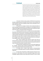# O u t l o o k OFCOM 2000

*The interests of the public will continue to occupy the focal point of our activities in the year 2001. These will take the form of implementing specific services and regulatory measures in order to promote effective competition, particularly in the telecom market, or implementing the public service in broadcast radio, or the universal service in telecommunications. With regard to both regulation and the preparation of decisions, we shall be taking into consideration the implications concerning cultural and governmental policy for the different parts of Switzerland. 2001 is of special importance for the provision of the core instruments which will control the future public service in Switzerland. In the area of electronic media, our draft of the new Radio and Television Law (LRTV) will enter the arena of public discussion. In the telecommunications sector we are preparing an invitation to tender for the new universal service licence.*

In the sphere of electronic media, perception of OFCOM will be characterised by the public and political discussion concerning the revision of the law on radio and television. We will be preparing the results of the consultation procedure and the communication for the attention of the Federal Council.

With regard to the convergence of electronic media and telecommunications we shall be discussing the market opportunities for technologies such as DAB (Digital Audio Broadcasting) and DVB (Digital Video Broadcasting) with interested parties. We shall also be preparing the Swiss position on international planning of DVB frequencies.

A further focus will be our role as a co-ordinator and to some extent catalyst in the promotion of the information society. The key areas are e-government and education and we wish to play a pilot role in e-government . The E-OFCOM project will make it possible to process customer transactions electronically over the Internet and the production processes are currently being installed. From autumn 2001, for example, the allocation of alphanumeric telephone numbers is envisaged. From this experience we hope to gain important know-how concerning electronic handling of customer contact and production processes.

After a five-year transitional period, Swisscom's universal service licence for telecommunications will expire at the end of 2002. In the course of 2001 we shall be proposing any necessary amendments to decrees to the Federal Council and shall submit the tender documents to the Federal Communications Commission (ComCom).

From 2002 onwards in Switzerland, the previous area code will be integrated into the – unchanged – subscriber number. We shall be presenting this change as a dialling simplification and as promoting the liberalised telecommunications market.

The European Union is revising its legal framework for telecommunications (the 99 Review); we shall quickly introduce any necessary amendments to Swiss telecommunications law.

We shall continue making efforts to establish appropriate instruments for licensing antennas for mobile telephony, and we shall be continuing the dialogue with the cantons, municipalities, equipment operators and the Federal offices concerned. Our centre of compe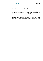tence for electromagnetic compatibility will be providing pertinent background information on telecommunications law, technology and economic factors as well as interrelationships.

The EU directive on radio and telecommunications terminal equipment (the R&TTE directive) deregulated the introduction of terminals and radio equipment onto the market. We shall be checking our control procedures in order to simplify the administrative procedures in conformity with the directive.

Implementation of the re-organisation of OFCOM's branch offices will continue. Centralisation of certain tasks in Biel and the establishment of intervention points in western, eastern and southern Switzerland will improve efficiency without having to compromise services or make personnel redundant.

*2 4*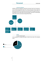## Commercial management

OFCOM's commercial management is performed by: the Director, Marc Furrer, the Deputy Director and Division Manager Peter Fischer (TC), and Division Managers Véronique Gigon (FA), Martin Dumermuth (RTV), Peter Pauli (FM) and Arturo Merlo (BO), the Manager of the International Relations Service Frédéric Riehl, the Personnel Manager Georg Caprez, the Staff Manager Andreas Sutter and the Communications Manager Roberto Rivola.



**Statistics** 

Percentage of workforce by gender

In the reporting year we employed 280 people, of whom 85 were women. This corresponds to 30%.

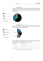Language distribution

Approximately 63% of employees are of German mother tongue, 32% speak French and 4% Italian. Other languages such as English, for example, are spoken by approximately 1% as their mother tongue.



## Professional training

Some 23% of employees have technical training, 15% have completed legal studies and 17% have been commercially trained (see table for details)



 $\overline{a}$ 

In 2000 we employed 2 media/IT trainees. From 2001 onwards, two young people will be trained in media and IT. By 2003, therefore, there will be six trainees.

| Study year/number |              | 2001 2002 2003 |   |  |
|-------------------|--------------|----------------|---|--|
|                   |              |                |   |  |
|                   |              |                |   |  |
|                   | <sup>0</sup> |                |   |  |
| Total             |              | -5             | ь |  |

*You will find comments on personnel policy in the management report.*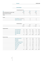## Personnel figures

|                                                | 1. Personnel (key date 31.12.)           |              |        |              |        |                |        |
|------------------------------------------------|------------------------------------------|--------------|--------|--------------|--------|----------------|--------|
| Year                                           |                                          | 1998         |        | 1999         |        | 2000           |        |
| Number of filled positions (converted to 100%) |                                          | 262,50       |        | 270,00       |        | 259,45         |        |
| Number of persons (excl. trainees)             |                                          | 273          |        | 286          |        | 280            |        |
| <b>Trainees</b>                                |                                          | $\mathbf{1}$ |        | 1            |        | $\overline{2}$ |        |
|                                                |                                          |              |        |              |        |                |        |
| <b>Turnover</b>                                |                                          |              |        |              |        |                |        |
|                                                | Arrivals, effective (incl. Swisscom) 115 |              |        | 42           |        | 27             |        |
|                                                | Departures and job rotation              | 18           |        | 29           |        | 33             |        |
|                                                |                                          |              |        |              |        |                |        |
|                                                |                                          |              |        |              |        |                |        |
|                                                | 2. Personnel structure                   |              |        |              |        |                |        |
|                                                |                                          | 1998         |        | 1999         |        | 2000           |        |
|                                                |                                          | Number       | $\%$   | Number       | $\%$   | Number         | %      |
|                                                |                                          |              |        |              |        |                |        |
| Language distribution                          |                                          |              |        |              |        |                |        |
|                                                | German mother tongue                     | 175          | 63,87  | 184          | 64,11  | 179            | 63,48  |
|                                                | French mother tongue                     | 85           | 31,02  | 88           | 30,66  | 89             | 31,56  |
|                                                | Italian mother tongue                    | 10           | 3,65   | 11           | 3,83   | 11             | 3,90   |
|                                                | Other mother tongue                      | 4            | 1,46   | 4            | 1,39   | 3              | 1,06   |
|                                                | <b>Total</b>                             | 274          | 100,00 | 287          | 100,00 | 282            | 100,00 |
|                                                |                                          |              |        |              |        |                |        |
| Professional training                          |                                          |              |        |              |        |                |        |
|                                                | Higher technical education               | 57           | 20,80  | 63           | 21,95  | 60             | 21,28  |
|                                                | <b>Legal training</b>                    | 35           | 12,77  | 43           | 14,98  | 41             | 14,54  |
|                                                | <b>ETH</b> engineers                     | 9            | 3,28   | 9            | 3,14   | 8              | 2,84   |
|                                                | Industrial management training           | 13           | 4,74   | 14           | 4,88   | 14             | 4,96   |
|                                                | Other academic education                 | 19           | 6,93   | 16           | 5,57   | 17             | 6,03   |
|                                                | <b>Business training</b>                 | 45           | 16,42  | 46           | 16,03  | 48             | 17,02  |
|                                                | Other training                           | 94           | 34,31  | 94           | 32,75  | 90             | 31,91  |
|                                                | No training                              | $\mathbf{1}$ | 0,36   | $\mathbf{1}$ | 0,35   | $\overline{2}$ | 0,71   |
|                                                | <b>Trainees</b>                          | $\mathbf{1}$ | 0,36   | $\mathbf{1}$ | 0,35   | $\overline{2}$ | 0,71   |
|                                                | <b>Total</b>                             | 274          | 100,00 | 287          | 100,00 | 282            | 100,00 |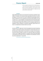# Finance Report

*Both in the individual accounting years and over the 1999-2000 period as a whole, OFCOM needed considerably less financial resources than was agreed in the performance specification. In 1999 we needed 10.2 million francs less and in the year 2000 the figure was six million francs less. The savings requirement specified by parliament (4.7 million francs for both years) was therefore exceeded by 350%.*

## **Expenditure**

Despite additional tasks which were not incorporated in the performance specification (responsibility for co-ordination on the information society, implementation of the decree on non-ionising radiation), over the two years we were able to undershoot the allocated global credit by a total of 16.2 million francs (13.7%). Operating cost consciousness made it possible to save some six million francs. As a result of difficulties in recruiting technical personnel (especially engineers and lawyers), but also thanks to tight management of personnel resources, in the personnel sector we did not spend 3.3 million francs over the two years. The remaining 6.9 million francs were attributable to reduced contributions to international organisations, projects which were deferred or not implemented and investment which was not made.

## **Revenue**

The extra revenue of 5.1 million francs (+4.5%) in the specified two-year period is primarily due to greater use of the frequency spectrum and the demand for microwave links by the new mobile radio operators Orange and diAx. This meant that the cost coverage in the Telecommunications Services Division was higher than expected. The average total marginal cost contribution of 105% is some 15% higher than expected. As a consequence of these results, OFCOM applied to the Department and the Federal Council for an adjustment to the administrative and licence fees; this was implemented on 1 January 2001.

*h t t p : / / w w w . a d m i n . c h / u v e k / d o k u / p r e s s e / 2 0 0 0 / f / 0 0 1 2 0 4 0 1 . h t m*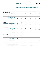## Financial situation over the entire 1999-2000 performance specification period

|                                                       | OFCOM account |        |              |                      |                      |               |
|-------------------------------------------------------|---------------|--------|--------------|----------------------|----------------------|---------------|
| Year                                                  | 1999          | 2000   | <b>Total</b> | <b>Global Budget</b> | <b>Deviation Fr.</b> | $\frac{0}{0}$ |
| I Financial account expenditure                       |               |        |              |                      |                      |               |
| <b>Personnel costs</b>                                | 34,0          | 33,0   | 67,0         | 71,7                 | $-4,7$               | - 6,6         |
| <b>Expenditure on fixed assets</b>                    | 8,9           | 15,0   | 23,9         | 35,4                 | $-11,5$              | $-32,5$       |
| <b>International contributions</b>                    | 5,6           | 5,3    | 10,9         | 12,8                 | $-1,9$               | $-14,8$       |
| Transfer to Dep. ETEC on 1.4.00                       |               |        |              | $-1,9$               |                      |               |
| <b>Total financial expenditure</b>                    | 48,5          | 53,3   | 101,8        | 118,0                | $-16,2$              | $-13,7$       |
| Il Services in relation to the federal administration | 5,9           | 5,4    | 11,3         |                      |                      |               |
| <b>III Imputations</b>                                | 4,8           | 3,4    | 8,2          |                      |                      |               |
| ./. Investments included in the financial expenditure | $-4,31$       | $-4,5$ | $-8,8$       |                      |                      |               |
| Total costs (I-III)                                   | 54,9          | 57,6   | 112,5        | 122,8                | $-10,3$              | $-8,4$        |
| IV Federal treasury revenue                           |               |        |              |                      |                      |               |
| <b>Administration fees</b>                            | 40,0          | 59,1   | 99,1         | 86,2                 | 12,9                 | 15,0          |
| Administration fees, WLL auction                      |               | 0.9    | 0,9          |                      | 0.9                  | 100,0         |
| <b>RTV</b> reception fees                             | 7,5           | 8,5    | 16,0         | 26,8                 | $-10,8$              | $-40,3$       |
| <b>Total revenue</b>                                  | 47,5          | 68,5   | 116,0        | 113,0                | 3,0                  | 2,7           |
| V Extraordinary and exceptional items                 |               |        |              |                      |                      |               |
| <b>Administration fees 1999</b>                       | $+9,6$        | $-9,6$ |              |                      |                      |               |
| <b>Administration fees UMTS auction</b>               |               | $+2,1$ |              |                      |                      |               |
| Proceeds for the period <sup>2</sup>                  | 57,1          | 61,0   |              |                      |                      |               |
| Marginal cost contribution (I-III in % re V)          | 104,0         |        |              | 91,0                 |                      | 14,3          |
| Marginal cost contribution (I-III in % re V)          |               | 106,0  |              | 91,0                 |                      | 16,5          |

*1 ) The 1999 investments were corrected retrospectively.*

*2 ) The proceeds for the period were corrected retrospectively (9.6 million francs of administration fees in the telecom services sector were not entered in the books until the 2000 accounting year).*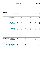|                                    |       | Account per product group |              |                      |                      |               |
|------------------------------------|-------|---------------------------|--------------|----------------------|----------------------|---------------|
| Year                               | 1999  | 2000                      | <b>Total</b> | <b>Global Budget</b> | <b>Deviation Fr.</b> | $\frac{0}{0}$ |
| <b>Telecom services</b>            |       |                           |              |                      |                      |               |
| Costs (million Fr.)                | 18,7  | 21,4                      | 40,1         | 48,6                 | $-8,5$               | $-17,5$       |
| Revenue <sup>1</sup> (million Fr.) | 30,1  | 33,7                      | 63,8         | 46,7                 | $+17,1$              | $+36,6$       |
| Marginal cost contrib. (%)         | 161,0 |                           |              | 96,0                 |                      | $+67,7$       |
| Marginal cost contrib. (%)         |       | 158,0                     |              | 96,0                 |                      | $+64,6$       |
| Radio and television               |       |                           |              |                      |                      |               |
| Costs (million Fr.)                | 14,0  | 14,4                      | 28,4         | 30,5                 | $-2,1$               | $-6,9$        |
| Revenue (million Fr.)              | 8,4   | 9,5                       | 17,9         | 27,9                 | $-10,0$              | $-35,8$       |
| Marginal cost contrib. (%)         | 60,0  |                           |              | 91,0                 |                      | $-34,1$       |
| Marginal cost contrib. (%)         |       | 65,0                      |              | 91,0                 |                      | $-28,6$       |
| Radio licences and equipment       |       |                           |              |                      |                      |               |
| Costs (million Fr.)                | 22,2  | 21,8                      | 44,0         | 45,6                 | $-1,6$               | $-3,5$        |
| Revenue (million Fr.)              | 18,6  | 17,8                      | 36,4         | 38,4                 | $-2,0$               | $-5,2$        |
| Marginal cost contrib. (%)         | 84,0  |                           |              | 84,0                 |                      | $\bf{0}$      |
| Marginal cost contrib. (%)         |       | 82,0                      |              | 84,0                 |                      | 2,4<br>-      |

## Achievement of specified economies

| Year                                                 | 1999 mil. Fr. | $\frac{0}{0}$ | 2000 mil. Fr. | $\frac{0}{0}$ | Total mil. Fr. | $\%$ |
|------------------------------------------------------|---------------|---------------|---------------|---------------|----------------|------|
| Expenditure according to financial plan (29.9.97)    | 60,2          |               | 64,4          |               | 124.6          |      |
| ./. transfer to GS ETEC                              |               |               | $-1,9$        |               | $-1,9$         |      |
| corrected expenditure framework                      | 60.2          |               | 62,5          |               | 122,7          |      |
| ./. expenditure reduction specified economies        | $-1,5$        |               | $-3,2$        |               | $-4.7$         |      |
| Expenditure performance specification 1999/200       | 58,7          |               | 59,3          |               | 118,0          |      |
| ./. expenditure according to annual accounts         | 48,5          |               | 53,3          |               | 101,8          |      |
| Reduced expenditure according to specified economies | 10.2          | 17,4          | 6,0           | 10,1          | 16.2           | 13,7 |
| <b>Fulfilment factor</b>                             | 6,8           |               | 1,9           |               | 3,5            |      |

*1 ) The proceeds for the period were corrected retrospectively (9.6 million francs of administration fees in the telecom services sector were not entered in the books until the 2000 accounting year).*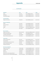## List of Personnel

| <b>Management</b>                                        | <b>Name</b>              | E-Mail                           | <b>Telefon</b> |
|----------------------------------------------------------|--------------------------|----------------------------------|----------------|
| Director                                                 | Marc Furrer              | Marc.Furrer@bakom.admin.ch       | 032 327 55 01  |
| Staff Manager                                            | Andreas Sutter           | Andreas.Sutter@bakom.admin.ch    | 032 327 55 03  |
| <b>Communications Manager</b>                            | Roberto Rivola           | Roberto.Rivola@bakom.admin.ch    | 032 327 55 50  |
|                                                          |                          |                                  |                |
| <b>International Relations</b>                           |                          |                                  |                |
| Manager and Vice-Director                                | Frédéric Riehl           | Frederic.Riehl@bakom.admin.ch    | 032 327 54 54  |
|                                                          |                          |                                  |                |
| <b>Resources and Organisation</b>                        |                          |                                  |                |
| Manager                                                  | Arturo Merlo             | Arturo.Merlo@bakom.admin.ch      | 032 327 58 85  |
| Finance and Accounts                                     | <b>Walter Geiser</b>     | Walter.Geiser@bakom.admin.ch     | 032 327 54 55  |
| Personnel                                                | Georg Caprez             | Georg.Caprez@bakom.admin.ch      | 032 327 55 15  |
| Logistics                                                | Peter Lendenmann         | Peter.Lendenmann@bakom.admin.ch  | 032 327 54 56  |
| IT                                                       | <b>Bruno Frutiger</b>    | Bruno.Frutiger@bakom.admin.ch    | 032 327 55 11  |
|                                                          |                          |                                  |                |
| <b>Radio and Television</b>                              |                          |                                  |                |
| Manager and Vice-Director                                | Martin Dumermuth         | Martin.Dumermuth@bakom.admin.ch  | 032 327 55 45  |
| National and International Media                         | Peter Marti              | Peter.Marti@bakom.admin.ch       | 032 327 55 44  |
| Local Media and Dissemination                            | Marcel Regnotto          | Marcel.Regnotto@bakom.admin.ch   | 032 327 55 35  |
| Radio and Television Supervisory Service                 | Carole Gerber            | Carole.Gerber@bakom.admin.ch     | 032 327 54 49  |
|                                                          |                          |                                  |                |
| <b>Telecom Services</b>                                  |                          |                                  |                |
| Manager and Deputy Director                              | Peter Fischer            | Peter.Fischer@bakom.admin.ch     | 032 327 55 99  |
| Policy and Planning                                      | Matthias Ramsauer        | Matthias.Ramsauer@bakom.admin.ch | 032 327 55 10  |
| <b>Fixed Network Services and Universal Service</b>      | Armin Blum               | Armin.Blum@bakom.admin.ch        | 032 327 55 79  |
| Mobile and Satellite Radio Services                      | René Dönni               | Rene.Doenni@bakom.admin.ch       | 032 327 55 43  |
| Numbering and Addressing                                 | François Maurer          | Francois.Maurer@bakom.admin.ch   | 032 327 55 76  |
|                                                          |                          |                                  |                |
| <b>Radio Licences and Equipment</b>                      |                          |                                  |                |
| Manager and Vice-Director                                | Véronique Gigon          | Veronique.Gigon@bakom.admin.ch   | 032 327 54 48  |
| Coordination Office                                      | Bernhard Pfander         | Bernhard.Pfander@bakom.admin.ch  | 032 327 54 42  |
| Equipment                                                | Gerhard Käser            | Gerhard.Kaeser@bakom.admin.ch    | 032 327 55 65  |
| Radio Licences                                           | Rudolf Rieder            | Rudolf.Rieder@bakom.admin.ch     | 032 327 58 20  |
| Market and Law, German-speaking Switzerland              | Daniel Büttler           | Daniel.Buettler@bakom.admin.ch   | 032 327 54 45  |
| Market and Law, French- and Italian-speaking Switzerland | Patricia Voisard Vollmer | Patricia.Voisard@bakom.admin.ch  | 032 327 55 91  |
|                                                          |                          |                                  |                |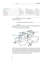| <b>Frequency Management</b> | <b>Name</b>         | E-Mail                              | Telefon       |
|-----------------------------|---------------------|-------------------------------------|---------------|
| Manager                     | Peter Pauli         | Peter.Pauli@bakom.admin.ch          | 032 327 57 00 |
| Radio Principles            | Daniel Vergères     | Daniel.Vergeres@bakom.admin.ch      | 032 327 57 20 |
| Frequency Planning          | PhilippeHorisberger | Philippe.Horisberger@bakom.admin.ch | 032 327 54 11 |
| Frequency Allocation        | Konrad Vonlanthen   | Konrad Vonlanthen@bakom.admin.ch    | 032 327 55 83 |
| Radio Monitoring            | vacant              |                                     | 032 327 57 30 |
|                             |                     |                                     |               |

**Contact** 

You can reach us by telephone on 032 327 55 11 (switchboard), or by fax on 032 327 55 55

Please send correspondence to: OFCOM, P.O. box, 2501 Biel-Bienne

## www.ofcom.ch

This also features details of how to find us and a map with the two offices: Zukunftstrasse 44 in Biel and Ipsachstrasse 10 in Nidau, plus the branch offices.



*h t t p : / / w w w . b a k o m . c h / s p e c i a l / m a i n b u t t o n s / c o n t a c t s / i n d e x– e . h t m l*

OFCOM has support points throughout Switzerland. They enable us to perform our monitoring function in the interest of a telecommunications market which functions effectively. In order to optimise activities in the frequency management sector, the centralisation of certain tasks in Biel is being tested. One branch office respectively in Italian-, French- and German-speaking Switzerland is intended to ensure speedy reactions throughout Switzerland.